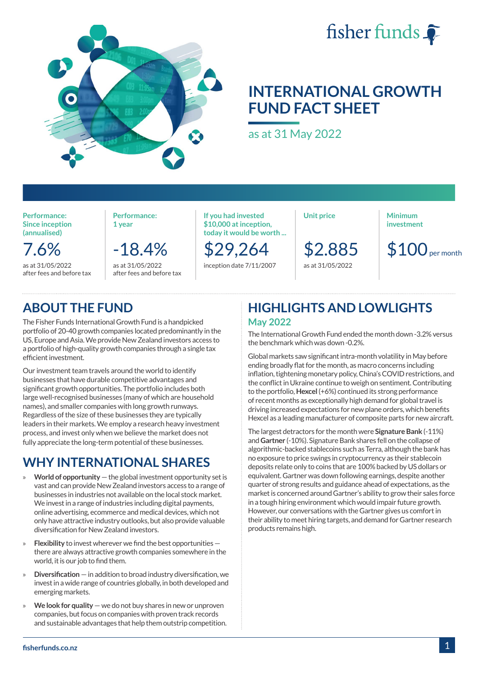

# **INTERNATIONAL GROWTH FUND FACT SHEET**

fisher funds

as at 31 May 2022

**Performance: Since inception (annualised)**

7.6% as at 31/05/2022 after fees and before tax **Performance: 1 year**

-18.4%

as at 31/05/2022 after fees and before tax **If you had invested \$10,000 at inception, today it would be worth ...**

\$29,264 inception date 7/11/2007 **Unit price**

\$2.885

as at 31/05/2022

**Minimum investment**

 $$100$ <sub>per month</sub>

## **ABOUT THE FUND**

The Fisher Funds International Growth Fund is a handpicked portfolio of 20-40 growth companies located predominantly in the US, Europe and Asia. We provide New Zealand investors access to a portfolio of high-quality growth companies through a single tax efficient investment.

Our investment team travels around the world to identify businesses that have durable competitive advantages and significant growth opportunities. The portfolio includes both large well-recognised businesses (many of which are household names), and smaller companies with long growth runways. Regardless of the size of these businesses they are typically leaders in their markets. We employ a research heavy investment process, and invest only when we believe the market does not fully appreciate the long-term potential of these businesses.

## **WHY INTERNATIONAL SHARES**

- » **World of opportunity**  the global investment opportunity set is vast and can provide New Zealand investors access to a range of businesses in industries not available on the local stock market. We invest in a range of industries including digital payments, online advertising, ecommerce and medical devices, which not only have attractive industry outlooks, but also provide valuable diversification for New Zealand investors.
- » **Flexibility** to invest wherever we find the best opportunities there are always attractive growth companies somewhere in the world, it is our job to find them.
- » **Diversification** in addition to broad industry diversification, we invest in a wide range of countries globally, in both developed and emerging markets.
- » **We look for quality**  we do not buy shares in new or unproven companies, but focus on companies with proven track records and sustainable advantages that help them outstrip competition.

### **HIGHLIGHTS AND LOWLIGHTS May 2022**

The International Growth Fund ended the month down -3.2% versus the benchmark which was down -0.2%.

Global markets saw significant intra-month volatility in May before ending broadly flat for the month, as macro concerns including inflation, tightening monetary policy, China's COVID restrictions, and the conflict in Ukraine continue to weigh on sentiment. Contributing to the portfolio, **Hexcel** (+6%) continued its strong performance of recent months as exceptionally high demand for global travel is driving increased expectations for new plane orders, which benefits Hexcel as a leading manufacturer of composite parts for new aircraft.

The largest detractors for the month were **Signature Bank** (-11%) and **Gartner** (-10%). Signature Bank shares fell on the collapse of algorithmic-backed stablecoins such as Terra, although the bank has no exposure to price swings in cryptocurrency as their stablecoin deposits relate only to coins that are 100% backed by US dollars or equivalent. Gartner was down following earnings, despite another quarter of strong results and guidance ahead of expectations, as the market is concerned around Gartner's ability to grow their sales force in a tough hiring environment which would impair future growth. However, our conversations with the Gartner gives us comfort in their ability to meet hiring targets, and demand for Gartner research products remains high.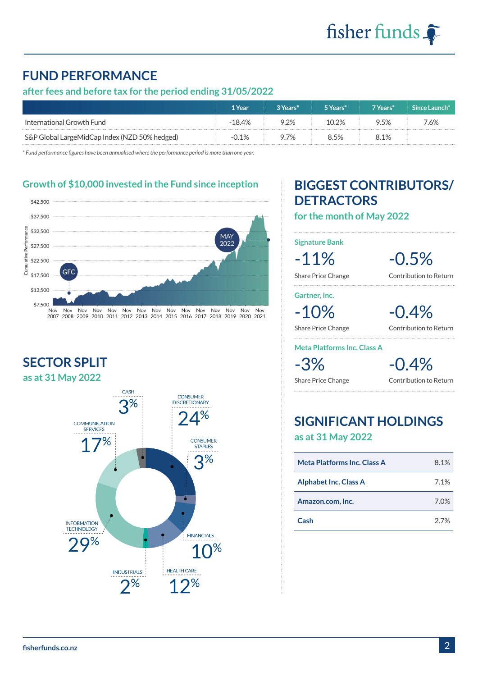## **FUND PERFORMANCE**

### **after fees and before tax for the period ending 31/05/2022**

|                                               | 1 Year  | "3 Years" | 5 Years* | 7 Years* | Since Launch* |
|-----------------------------------------------|---------|-----------|----------|----------|---------------|
| International Growth Fund                     | $-184%$ | ን ን%      | $10.2\%$ | ን 5% ፡   | ' 6%          |
| S&P Global LargeMidCap Index (NZD 50% hedged) | $-0.1%$ | 7%        | 3 5%     | 3.1%     |               |

*\* Fund performance figures have been annualised where the performance period is more than one year.*

**Growth of \$10,000 invested in the Fund since inception**



**SECTOR SPLIT as at 31 May 2022**



## **BIGGEST CONTRIBUTORS/ DETRACTORS**

**for the month of May 2022**

**Signature Bank**

-11% -0.5% Share Price Change Contribution to Return

**Gartner, Inc.**

-10% -0.4%

Share Price Change Contribution to Return

#### **Meta Platforms Inc. Class A**

 $-3\%$   $-0.4\%$ 

Share Price Change **Contribution to Return** 

## **SIGNIFICANT HOLDINGS as at 31 May 2022**

| <b>Meta Platforms Inc. Class A</b> | 8.1% |
|------------------------------------|------|
| <b>Alphabet Inc. Class A</b>       | 7.1% |
| Amazon.com, Inc.                   | 7.0% |
| Cash                               | 27%  |